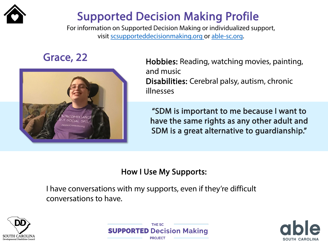

## Supported Decision Making Profile

For information on Supported Decision Making or individualized support, visit [scsupporteddecisionmaking.org](http://scsupporteddecisionmaking.org/) or [able-sc.org.](https://www.able-sc.org/)



Grace, 22 **Hobbies:** Reading, watching movies, painting, and music Disabilities: Cerebral palsy, autism, chronic illnesses

> "SDM is important to me because I want to have the same rights as any other adult and SDM is a great alternative to guardianship."

### How I Use My Supports:

I have conversations with my supports, even if they're difficult conversations to have.





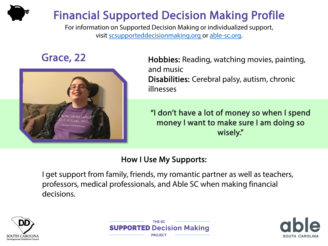# Financial Supported Decision Making Profile

For information on Supported Decision Making or individualized support, visit [scsupporteddecisionmaking.org](http://scsupporteddecisionmaking.org/) or [able-sc.org](https://www.able-sc.org/).



Grace, 22 Hobbies: Reading, watching movies, painting, and music Disabilities: Cerebral palsy, autism, chronic illnesses

> "I don't have a lot of money so when I spend money I want to make sure I am doing so wisely."

### How I Use My Supports:

I get support from family, friends, my romantic partner as well as teachers, professors, medical professionals, and Able SC when making financial decisions.





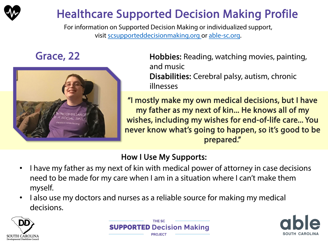

# Healthcare Supported Decision Making Profile

For information on Supported Decision Making or individualized support, visit [scsupporteddecisionmaking.org](http://scsupporteddecisionmaking.org/) or [able-sc.org.](https://www.able-sc.org/)



Grace, 22 **Hobbies:** Reading, watching movies, painting, and music Disabilities: Cerebral palsy, autism, chronic illnesses

> "I mostly make my own medical decisions, but I have my father as my next of kin... He knows all of my wishes, including my wishes for end-of-life care... You never know what's going to happen, so it's good to be prepared."

- I have my father as my next of kin with medical power of attorney in case decisions need to be made for my care when I am in a situation where I can't make them myself.
- I also use my doctors and nurses as a reliable source for making my medical decisions.





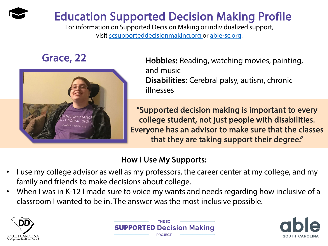# Education Supported Decision Making Profile

For information on Supported Decision Making or individualized support, visit [scsupporteddecisionmaking.org](http://scsupporteddecisionmaking.org/) or [able-sc.org.](https://www.able-sc.org/)



Grace, 22 Hobbies: Reading, watching movies, painting, and music Disabilities: Cerebral palsy, autism, chronic illnesses

> "Supported decision making is important to every college student, not just people with disabilities. Everyone has an advisor to make sure that the classes that they are taking support their degree."

- I use my college advisor as well as my professors, the career center at my college, and my family and friends to make decisions about college.
- When I was in K-12 I made sure to voice my wants and needs regarding how inclusive of a classroom I wanted to be in. The answer was the most inclusive possible.





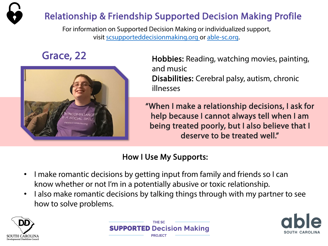

For information on Supported Decision Making or individualized support, visit [scsupporteddecisionmaking.org](http://scsupporteddecisionmaking.org/) or [able-sc.org](https://www.able-sc.org/).



Grace, 22 Hobbies: Reading, watching movies, painting, and music Disabilities: Cerebral palsy, autism, chronic illnesses

> "When I make a relationship decisions, I ask for help because I cannot always tell when I am being treated poorly, but I also believe that I deserve to be treated well."

- I make romantic decisions by getting input from family and friends so I can know whether or not I'm in a potentially abusive or toxic relationship.
- I also make romantic decisions by talking things through with my partner to see how to solve problems.